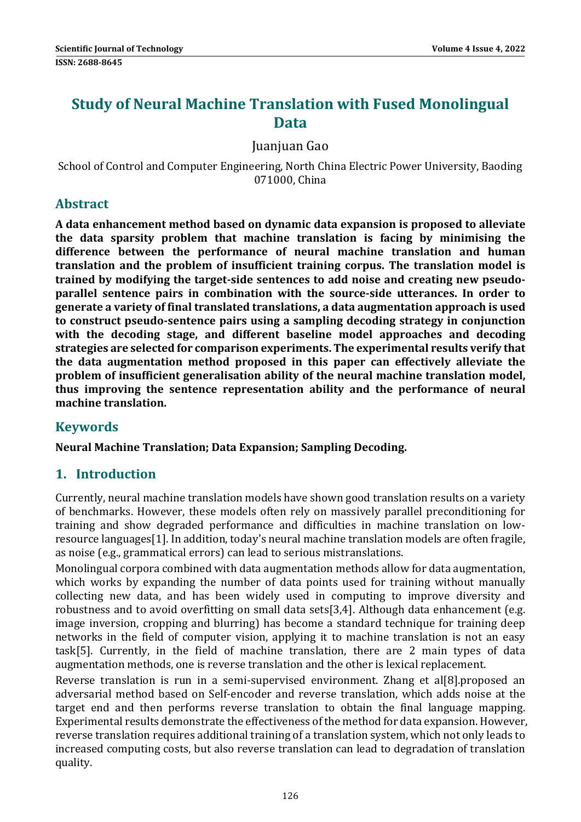# **Study of Neural Machine Translation with Fused Monolingual Data**

Juanjuan Gao 

School of Control and Computer Engineering, North China Electric Power University, Baoding 071000, China 

## **Abstract**

**A data enhancement method based on dynamic data expansion is proposed to alleviate the data sparsity problem that machine translation is facing by minimising the difference between the performance of neural machine translation and human translation and the problem of insufficient training corpus. The translation model is trained by modifying the target‐side sentences to add noise and creating new pseudo‐ parallel sentence pairs in combination with the source‐side utterances. In order to generate a variety of final translated translations, a data augmentation approach is used to construct pseudo‐sentence pairs using a sampling decoding strategy in conjunction with the decoding stage, and different baseline model approaches and decoding strategies are selected for comparison experiments. The experimental results verify that the data augmentation method proposed in this paper can effectively alleviate the problem of insufficient generalisation ability of the neural machine translation model, thus improving the sentence representation ability and the performance of neural machine translation.**

# **Keywords**

**Neural Machine Translation; Data Expansion; Sampling Decoding.**

# **1. Introduction**

Currently, neural machine translation models have shown good translation results on a variety of benchmarks. However, these models often rely on massively parallel preconditioning for training and show degraded performance and difficulties in machine translation on lowresource languages[1]. In addition, today's neural machine translation models are often fragile, as noise (e.g., grammatical errors) can lead to serious mistranslations.

Monolingual corpora combined with data augmentation methods allow for data augmentation, which works by expanding the number of data points used for training without manually collecting new data, and has been widely used in computing to improve diversity and robustness and to avoid overfitting on small data sets[3,4]. Although data enhancement (e.g. image inversion, cropping and blurring) has become a standard technique for training deep networks in the field of computer vision, applying it to machine translation is not an easy task[5]. Currently, in the field of machine translation, there are 2 main types of data augmentation methods, one is reverse translation and the other is lexical replacement.

Reverse translation is run in a semi-supervised environment. Zhang et al[8].proposed an adversarial method based on Self-encoder and reverse translation, which adds noise at the target end and then performs reverse translation to obtain the final language mapping. Experimental results demonstrate the effectiveness of the method for data expansion. However, reverse translation requires additional training of a translation system, which not only leads to increased computing costs, but also reverse translation can lead to degradation of translation quality.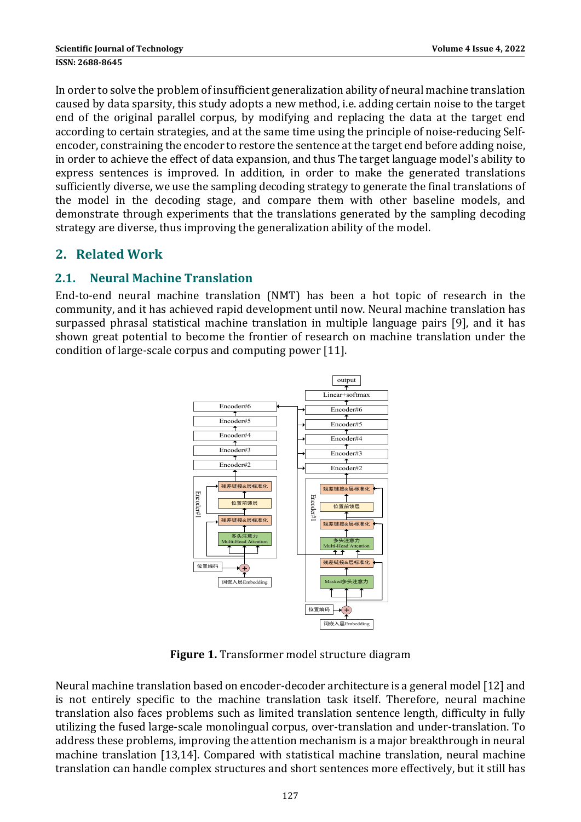In order to solve the problem of insufficient generalization ability of neural machine translation caused by data sparsity, this study adopts a new method, i.e. adding certain noise to the target end of the original parallel corpus, by modifying and replacing the data at the target end according to certain strategies, and at the same time using the principle of noise-reducing Selfencoder, constraining the encoder to restore the sentence at the target end before adding noise, in order to achieve the effect of data expansion, and thus The target language model's ability to express sentences is improved. In addition, in order to make the generated translations sufficiently diverse, we use the sampling decoding strategy to generate the final translations of the model in the decoding stage, and compare them with other baseline models, and demonstrate through experiments that the translations generated by the sampling decoding strategy are diverse, thus improving the generalization ability of the model.

# **2. Related Work**

## **2.1. Neural Machine Translation**

End-to-end neural machine translation (NMT) has been a hot topic of research in the community, and it has achieved rapid development until now. Neural machine translation has surpassed phrasal statistical machine translation in multiple language pairs [9], and it has shown great potential to become the frontier of research on machine translation under the condition of large-scale corpus and computing power [11].



**Figure 1.** Transformer model structure diagram

Neural machine translation based on encoder-decoder architecture is a general model [12] and is not entirely specific to the machine translation task itself. Therefore, neural machine translation also faces problems such as limited translation sentence length, difficulty in fully utilizing the fused large-scale monolingual corpus, over-translation and under-translation. To address these problems, improving the attention mechanism is a major breakthrough in neural machine translation [13,14]. Compared with statistical machine translation, neural machine translation can handle complex structures and short sentences more effectively, but it still has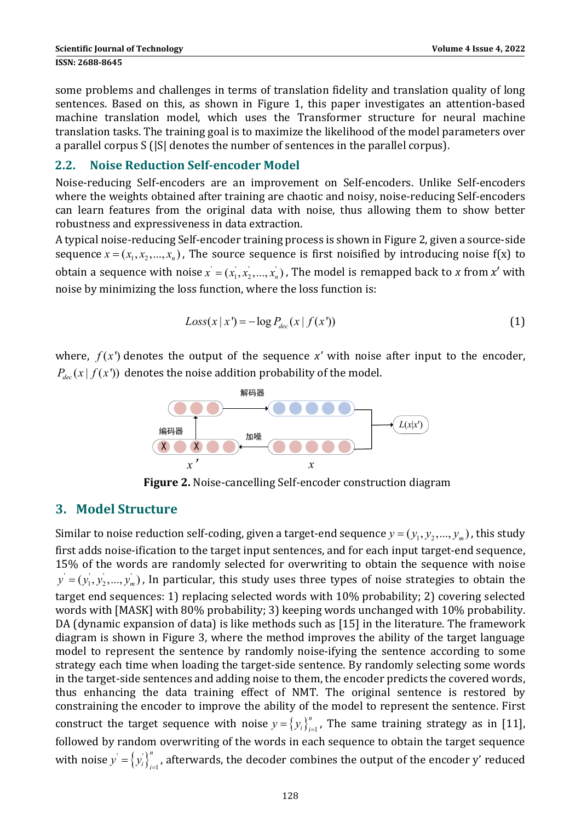some problems and challenges in terms of translation fidelity and translation quality of long sentences. Based on this, as shown in Figure 1, this paper investigates an attention-based machine translation model, which uses the Transformer structure for neural machine translation tasks. The training goal is to maximize the likelihood of the model parameters over a parallel corpus S (|S| denotes the number of sentences in the parallel corpus).

#### **2.2. Noise Reduction Self‐encoder Model**

Noise-reducing Self-encoders are an improvement on Self-encoders. Unlike Self-encoders where the weights obtained after training are chaotic and noisy, noise-reducing Self-encoders can learn features from the original data with noise, thus allowing them to show better robustness and expressiveness in data extraction.

A typical noise-reducing Self-encoder training process is shown in Figure 2, given a source-side sequence  $x = (x_1, x_2, ..., x_n)$ , The source sequence is first noisified by introducing noise f(x) to obtain a sequence with noise  $x' = (x'_1, x'_2, ..., x'_n)$ , The model is remapped back to x from  $x'$  with noise by minimizing the loss function, where the loss function is:

$$
Loss(x | x') = -log P_{dec}(x | f(x')) \tag{1}
$$

where,  $f(x')$  denotes the output of the sequence  $x'$  with noise after input to the encoder,  $P_{dec}(x | f(x'))$  denotes the noise addition probability of the model.



**Figure 2.** Noise-cancelling Self-encoder construction diagram

### **3. Model Structure**

Similar to noise reduction self-coding, given a target-end sequence  $y = (y_1, y_2, ..., y_m)$ , this study first adds noise-ification to the target input sentences, and for each input target-end sequence, 15% of the words are randomly selected for overwriting to obtain the sequence with noise  $y' = (y_1', y_2',..., y_m')$  , In particular, this study uses three types of noise strategies to obtain the target end sequences: 1) replacing selected words with 10% probability; 2) covering selected words with [MASK] with 80% probability; 3) keeping words unchanged with 10% probability. DA (dynamic expansion of data) is like methods such as  $[15]$  in the literature. The framework diagram is shown in Figure 3, where the method improves the ability of the target language model to represent the sentence by randomly noise-ifying the sentence according to some strategy each time when loading the target-side sentence. By randomly selecting some words in the target-side sentences and adding noise to them, the encoder predicts the covered words, thus enhancing the data training effect of NMT. The original sentence is restored by constraining the encoder to improve the ability of the model to represent the sentence. First construct the target sequence with noise  $y = \left\{y_i\right\}_{i=1}^n$ , The same training strategy as in [11], followed by random overwriting of the words in each sequence to obtain the target sequence with noise  $y' = \left\{ y_i' \right\}_{i=1}^n$  $y^{'}\!=\!\left\{y^{'}_i\right\}_{i=1}^n$ , afterwards, the decoder combines the output of the encoder  $\mathbf{y}^{\prime}$  reduced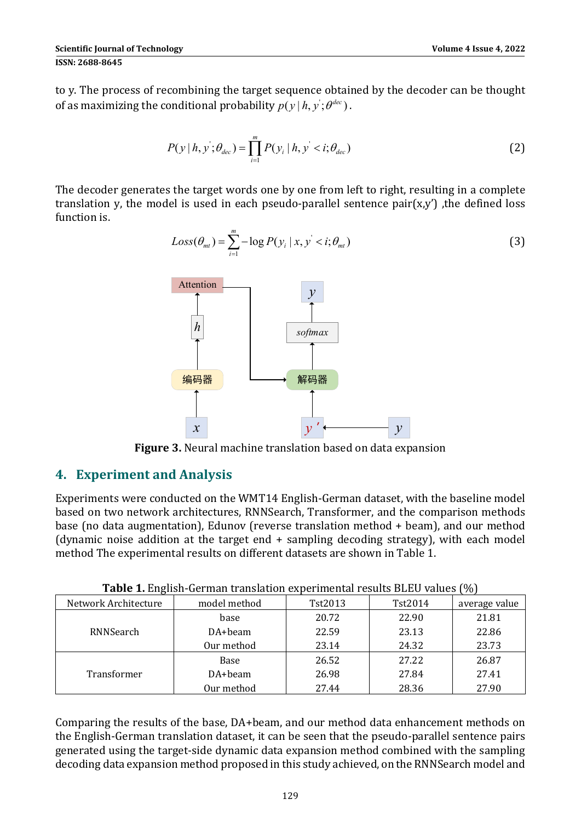to y. The process of recombining the target sequence obtained by the decoder can be thought of as maximizing the conditional probability  $p(y|h, y; \theta^{dec})$ .

$$
P(y | h, y'; \theta_{dec}) = \prod_{i=1}^{m} P(y_i | h, y' < i; \theta_{dec})
$$
 (2)

The decoder generates the target words one by one from left to right, resulting in a complete translation y, the model is used in each pseudo-parallel sentence  $pair(x,y')$ , the defined loss function is.

$$
Loss(\theta_{mt}) = \sum_{i=1}^{m} -\log P(y_i \mid x, y' < i; \theta_{mt}) \tag{3}
$$



**Figure** 3. Neural machine translation based on data expansion

### **4. Experiment and Analysis**

Experiments were conducted on the WMT14 English-German dataset, with the baseline model based on two network architectures, RNNSearch, Transformer, and the comparison methods base (no data augmentation), Edunov (reverse translation method  $+$  beam), and our method (dynamic noise addition at the target end  $+$  sampling decoding strategy), with each model method The experimental results on different datasets are shown in Table 1.

| . .<br>Network Architecture | model method | Tst2013 | Tst2014 | $\cdot$ $\cdot$ $\cdot$<br>average value |
|-----------------------------|--------------|---------|---------|------------------------------------------|
| RNNSearch                   | base         | 20.72   | 22.90   | 21.81                                    |
|                             | DA+beam      | 22.59   | 23.13   | 22.86                                    |
|                             | Our method   | 23.14   | 24.32   | 23.73                                    |
| Transformer                 | Base         | 26.52   | 27.22   | 26.87                                    |
|                             | DA+beam      | 26.98   | 27.84   | 27.41                                    |
|                             | Our method   | 27.44   | 28.36   | 27.90                                    |

**Table 1.** English-German translation experimental results BLEU values (%)

Comparing the results of the base, DA+beam, and our method data enhancement methods on the English-German translation dataset, it can be seen that the pseudo-parallel sentence pairs generated using the target-side dynamic data expansion method combined with the sampling decoding data expansion method proposed in this study achieved, on the RNNSearch model and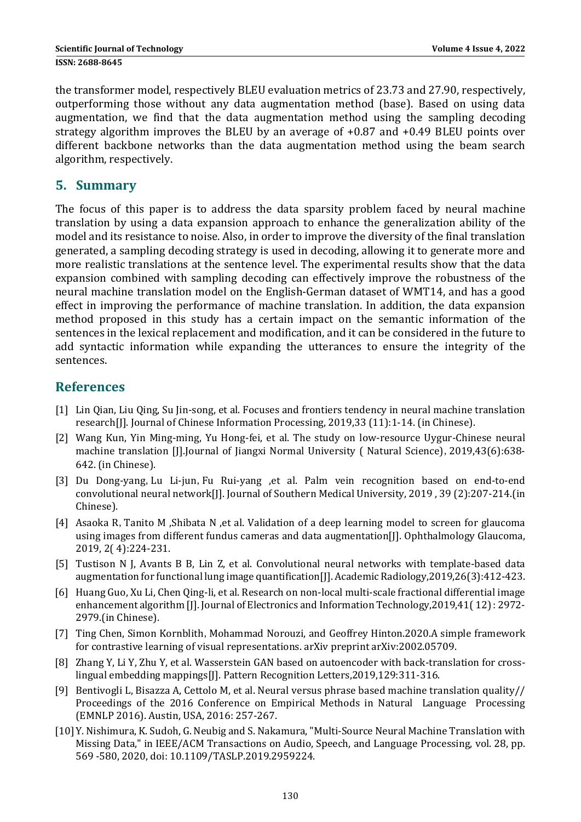the transformer model, respectively BLEU evaluation metrics of 23.73 and 27.90, respectively, outperforming those without any data augmentation method (base). Based on using data augmentation, we find that the data augmentation method using the sampling decoding strategy algorithm improves the BLEU by an average of  $+0.87$  and  $+0.49$  BLEU points over different backbone networks than the data augmentation method using the beam search algorithm, respectively.

### **5. Summary**

The focus of this paper is to address the data sparsity problem faced by neural machine translation by using a data expansion approach to enhance the generalization ability of the model and its resistance to noise. Also, in order to improve the diversity of the final translation generated, a sampling decoding strategy is used in decoding, allowing it to generate more and more realistic translations at the sentence level. The experimental results show that the data expansion combined with sampling decoding can effectively improve the robustness of the neural machine translation model on the English-German dataset of WMT14, and has a good effect in improving the performance of machine translation. In addition, the data expansion method proposed in this study has a certain impact on the semantic information of the sentences in the lexical replacement and modification, and it can be considered in the future to add syntactic information while expanding the utterances to ensure the integrity of the sentences. 

## **References**

- [1] Lin Qian, Liu Qing, Su Jin-song, et al. Focuses and frontiers tendency in neural machine translation research[J]. Journal of Chinese Information Processing, 2019,33 (11):1-14. (in Chinese).
- [2] Wang Kun, Yin Ming-ming, Yu Hong-fei, et al. The study on low-resource Uygur-Chinese neural machine translation [J].Journal of Jiangxi Normal University ( Natural Science), 2019,43(6):638-642. (in Chinese).
- [3] Du Dong-yang, Lu Li-jun, Fu Rui-yang ,et al. Palm vein recognition based on end-to-end convolutional neural network[J]. Journal of Southern Medical University, 2019, 39 (2):207-214.(in Chinese).
- [4] Asaoka R, Tanito M , Shibata N , et al. Validation of a deep learning model to screen for glaucoma using images from different fundus cameras and data augmentation  $[$ ]. Ophthalmology Glaucoma, 2019, 2( 4):224‐231.
- [5] Tustison N J, Avants B B, Lin Z, et al. Convolutional neural networks with template-based data augmentation for functional lung image quantification [J]. Academic Radiology,  $2019,26(3):412-423$ .
- [6] Huang Guo, Xu Li, Chen Qing-li, et al. Research on non-local multi-scale fractional differential image enhancement algorithm [J]. Journal of Electronics and Information Technology,  $2019,41$  ( $12$ ) : 2972-2979.(in Chinese).
- [7] Ting Chen, Simon Kornblith, Mohammad Norouzi, and Geoffrey Hinton.2020.A simple framework for contrastive learning of visual representations. arXiv preprint arXiv:2002.05709.
- [8] Zhang Y, Li Y, Zhu Y, et al. Wasserstein GAN based on autoencoder with back-translation for crosslingual embedding mappings[J]. Pattern Recognition Letters,2019,129:311-316.
- [9] Bentivogli L, Bisazza A, Cettolo M, et al. Neural versus phrase based machine translation quality// Proceedings of the 2016 Conference on Empirical Methods in Natural Language Processing (EMNLP 2016). Austin, USA, 2016: 257-267.
- [10] Y. Nishimura, K. Sudoh, G. Neubig and S. Nakamura, "Multi-Source Neural Machine Translation with Missing Data," in IEEE/ACM Transactions on Audio, Speech, and Language Processing, vol. 28, pp. 569 -580, 2020, doi: 10.1109/TASLP.2019.2959224.